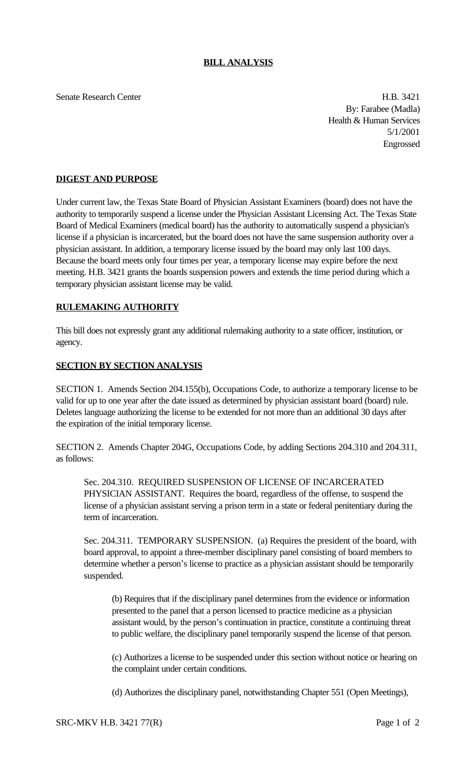## **BILL ANALYSIS**

Senate Research Center **H.B. 3421** 

By: Farabee (Madla) Health & Human Services 5/1/2001 Engrossed

## **DIGEST AND PURPOSE**

Under current law, the Texas State Board of Physician Assistant Examiners (board) does not have the authority to temporarily suspend a license under the Physician Assistant Licensing Act. The Texas State Board of Medical Examiners (medical board) has the authority to automatically suspend a physician's license if a physician is incarcerated, but the board does not have the same suspension authority over a physician assistant. In addition, a temporary license issued by the board may only last 100 days. Because the board meets only four times per year, a temporary license may expire before the next meeting. H.B. 3421 grants the boards suspension powers and extends the time period during which a temporary physician assistant license may be valid.

## **RULEMAKING AUTHORITY**

This bill does not expressly grant any additional rulemaking authority to a state officer, institution, or agency.

## **SECTION BY SECTION ANALYSIS**

SECTION 1. Amends Section 204.155(b), Occupations Code, to authorize a temporary license to be valid for up to one year after the date issued as determined by physician assistant board (board) rule. Deletes language authorizing the license to be extended for not more than an additional 30 days after the expiration of the initial temporary license.

SECTION 2. Amends Chapter 204G, Occupations Code, by adding Sections 204.310 and 204.311, as follows:

Sec. 204.310. REQUIRED SUSPENSION OF LICENSE OF INCARCERATED PHYSICIAN ASSISTANT. Requires the board, regardless of the offense, to suspend the license of a physician assistant serving a prison term in a state or federal penitentiary during the term of incarceration.

Sec. 204.311. TEMPORARY SUSPENSION. (a) Requires the president of the board, with board approval, to appoint a three-member disciplinary panel consisting of board members to determine whether a person's license to practice as a physician assistant should be temporarily suspended.

(b) Requires that if the disciplinary panel determines from the evidence or information presented to the panel that a person licensed to practice medicine as a physician assistant would, by the person's continuation in practice, constitute a continuing threat to public welfare, the disciplinary panel temporarily suspend the license of that person.

(c) Authorizes a license to be suspended under this section without notice or hearing on the complaint under certain conditions.

(d) Authorizes the disciplinary panel, notwithstanding Chapter 551 (Open Meetings),